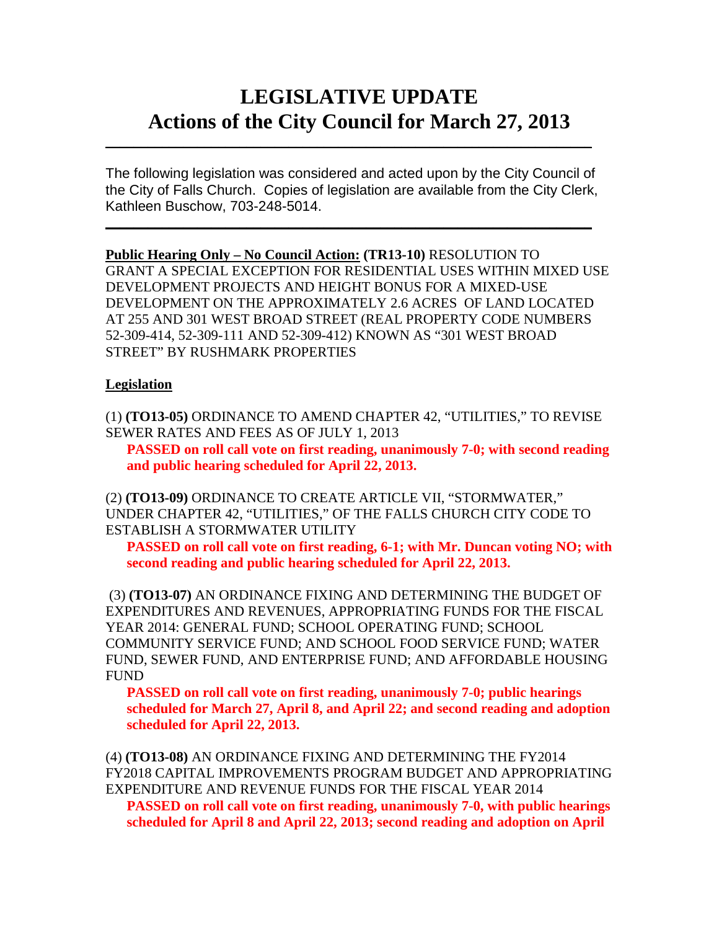# **LEGISLATIVE UPDATE Actions of the City Council for March 27, 2013**

The following legislation was considered and acted upon by the City Council of the City of Falls Church. Copies of legislation are available from the City Clerk, Kathleen Buschow, 703-248-5014.

 $\mathcal{L}_\text{max}$  and  $\mathcal{L}_\text{max}$  and  $\mathcal{L}_\text{max}$  and  $\mathcal{L}_\text{max}$  and  $\mathcal{L}_\text{max}$  and  $\mathcal{L}_\text{max}$ 

 $\mathcal{L}_\text{max}$  and  $\mathcal{L}_\text{max}$  and  $\mathcal{L}_\text{max}$  and  $\mathcal{L}_\text{max}$  and  $\mathcal{L}_\text{max}$  and  $\mathcal{L}_\text{max}$ 

**Public Hearing Only – No Council Action: (TR13-10)** RESOLUTION TO GRANT A SPECIAL EXCEPTION FOR RESIDENTIAL USES WITHIN MIXED USE DEVELOPMENT PROJECTS AND HEIGHT BONUS FOR A MIXED-USE DEVELOPMENT ON THE APPROXIMATELY 2.6 ACRES OF LAND LOCATED AT 255 AND 301 WEST BROAD STREET (REAL PROPERTY CODE NUMBERS 52-309-414, 52-309-111 AND 52-309-412) KNOWN AS "301 WEST BROAD STREET" BY RUSHMARK PROPERTIES

# **Legislation**

(1) **(TO13-05)** ORDINANCE TO AMEND CHAPTER 42, "UTILITIES," TO REVISE SEWER RATES AND FEES AS OF JULY 1, 2013

**PASSED on roll call vote on first reading, unanimously 7-0; with second reading and public hearing scheduled for April 22, 2013.**

(2) **(TO13-09)** ORDINANCE TO CREATE ARTICLE VII, "STORMWATER," UNDER CHAPTER 42, "UTILITIES," OF THE FALLS CHURCH CITY CODE TO ESTABLISH A STORMWATER UTILITY

**PASSED on roll call vote on first reading, 6-1; with Mr. Duncan voting NO; with second reading and public hearing scheduled for April 22, 2013.**

(3) **(TO13-07)** AN ORDINANCE FIXING AND DETERMINING THE BUDGET OF EXPENDITURES AND REVENUES, APPROPRIATING FUNDS FOR THE FISCAL YEAR 2014: GENERAL FUND; SCHOOL OPERATING FUND; SCHOOL COMMUNITY SERVICE FUND; AND SCHOOL FOOD SERVICE FUND; WATER FUND, SEWER FUND, AND ENTERPRISE FUND; AND AFFORDABLE HOUSING FUND

**PASSED on roll call vote on first reading, unanimously 7-0; public hearings scheduled for March 27, April 8, and April 22; and second reading and adoption scheduled for April 22, 2013.**

(4) **(TO13-08)** AN ORDINANCE FIXING AND DETERMINING THE FY2014 FY2018 CAPITAL IMPROVEMENTS PROGRAM BUDGET AND APPROPRIATING EXPENDITURE AND REVENUE FUNDS FOR THE FISCAL YEAR 2014

**PASSED on roll call vote on first reading, unanimously 7-0, with public hearings scheduled for April 8 and April 22, 2013; second reading and adoption on April**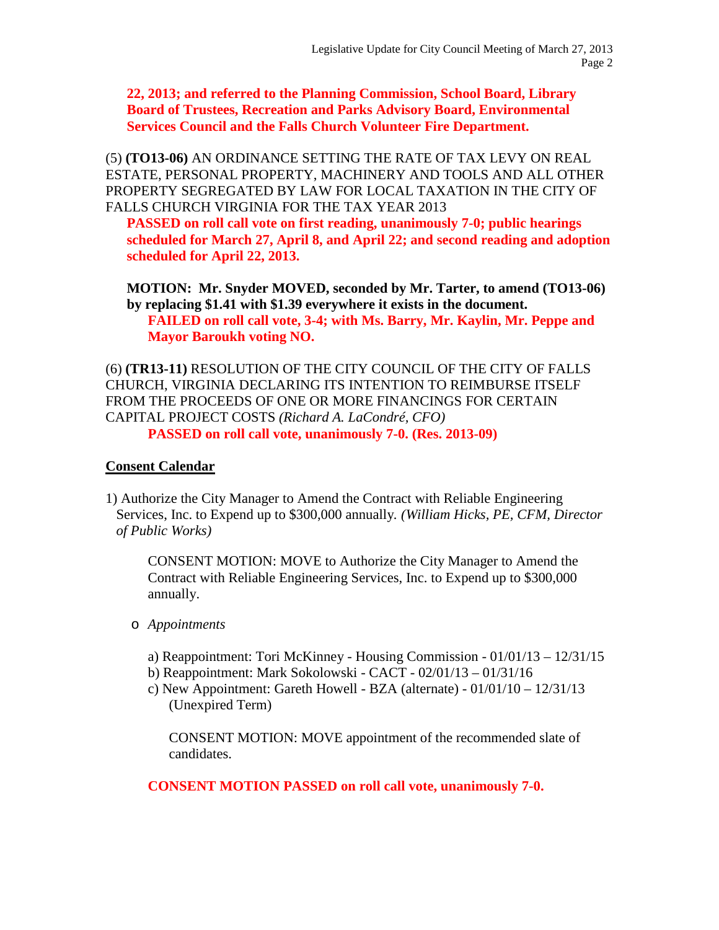**22, 2013; and referred to the Planning Commission, School Board, Library Board of Trustees, Recreation and Parks Advisory Board, Environmental Services Council and the Falls Church Volunteer Fire Department.**

(5) **(TO13-06)** AN ORDINANCE SETTING THE RATE OF TAX LEVY ON REAL ESTATE, PERSONAL PROPERTY, MACHINERY AND TOOLS AND ALL OTHER PROPERTY SEGREGATED BY LAW FOR LOCAL TAXATION IN THE CITY OF FALLS CHURCH VIRGINIA FOR THE TAX YEAR 2013

**PASSED on roll call vote on first reading, unanimously 7-0; public hearings scheduled for March 27, April 8, and April 22; and second reading and adoption scheduled for April 22, 2013.**

**MOTION: Mr. Snyder MOVED, seconded by Mr. Tarter, to amend (TO13-06) by replacing \$1.41 with \$1.39 everywhere it exists in the document. FAILED on roll call vote, 3-4; with Ms. Barry, Mr. Kaylin, Mr. Peppe and Mayor Baroukh voting NO.**

(6) **(TR13-11)** RESOLUTION OF THE CITY COUNCIL OF THE CITY OF FALLS CHURCH, VIRGINIA DECLARING ITS INTENTION TO REIMBURSE ITSELF FROM THE PROCEEDS OF ONE OR MORE FINANCINGS FOR CERTAIN CAPITAL PROJECT COSTS *(Richard A. LaCondré, CFO)* **PASSED on roll call vote, unanimously 7-0. (Res. 2013-09)**

#### **Consent Calendar**

1) Authorize the City Manager to Amend the Contract with Reliable Engineering Services, Inc. to Expend up to \$300,000 annually*. (William Hicks, PE, CFM, Director of Public Works)*

CONSENT MOTION: MOVE to Authorize the City Manager to Amend the Contract with Reliable Engineering Services, Inc. to Expend up to \$300,000 annually.

- o *Appointments*
	- a) Reappointment: Tori McKinney Housing Commission 01/01/13 12/31/15
	- b) Reappointment: Mark Sokolowski CACT 02/01/13 01/31/16
	- c) New Appointment: Gareth Howell BZA (alternate) 01/01/10 12/31/13 (Unexpired Term)

CONSENT MOTION: MOVE appointment of the recommended slate of candidates.

**CONSENT MOTION PASSED on roll call vote, unanimously 7-0.**